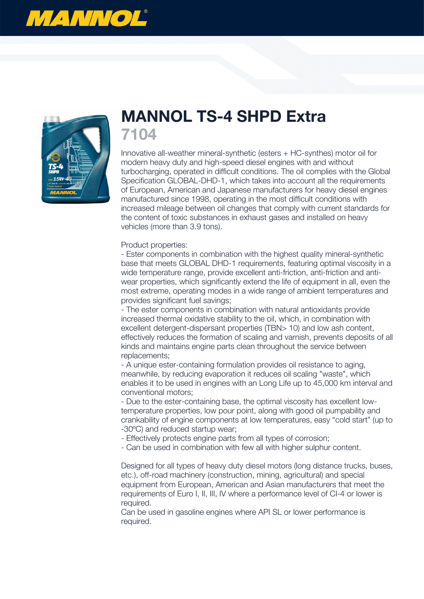



## **MANNOL TS-4 SHPD Extra 7104**

Innovative all-weather mineral-synthetic (esters + HC-synthes) motor oil for modern heavy duty and high-speed diesel engines with and without turbocharging, operated in difficult conditions. The oil complies with the Global Specification GLOBAL-DHD-1, which takes into account all the requirements of European, American and Japanese manufacturers for heavy diesel engines manufactured since 1998, operating in the most difficult conditions with increased mileage between oil changes that comply with current standards for the content of toxic substances in exhaust gases and installed on heavy vehicles (more than 3.9 tons).

## Product properties:

- Ester components in combination with the highest quality mineral-synthetic base that meets GLOBAL DHD-1 requirements, featuring optimal viscosity in a wide temperature range, provide excellent anti-friction, anti-friction and antiwear properties, which significantly extend the life of equipment in all, even the most extreme, operating modes in a wide range of ambient temperatures and provides significant fuel savings;

- The ester components in combination with natural antioxidants provide increased thermal oxidative stability to the oil, which, in combination with excellent detergent-dispersant properties (TBN> 10) and low ash content, effectively reduces the formation of scaling and varnish, prevents deposits of all kinds and maintains engine parts clean throughout the service between replacements;

- A unique ester-containing formulation provides oil resistance to aging, meanwhile, by reducing evaporation it reduces oil scaling "waste", which enables it to be used in engines with an Long Life up to 45,000 km interval and conventional motors;

- Due to the ester-containing base, the optimal viscosity has excellent lowtemperature properties, low pour point, along with good oil pumpability and crankability of engine components at low temperatures, easy "cold start" (up to -30ºC) and reduced startup wear;

- Effectively protects engine parts from all types of corrosion;

- Can be used in combination with few all with higher sulphur content.

Designed for all types of heavy duty diesel motors (long distance trucks, buses, etc.), off-road machinery (construction, mining, agricultural) and special equipment from European, American and Asian manufacturers that meet the requirements of Euro I, II, III, IV where a performance level of CI-4 or lower is required.

Can be used in gasoline engines where API SL or lower performance is required.